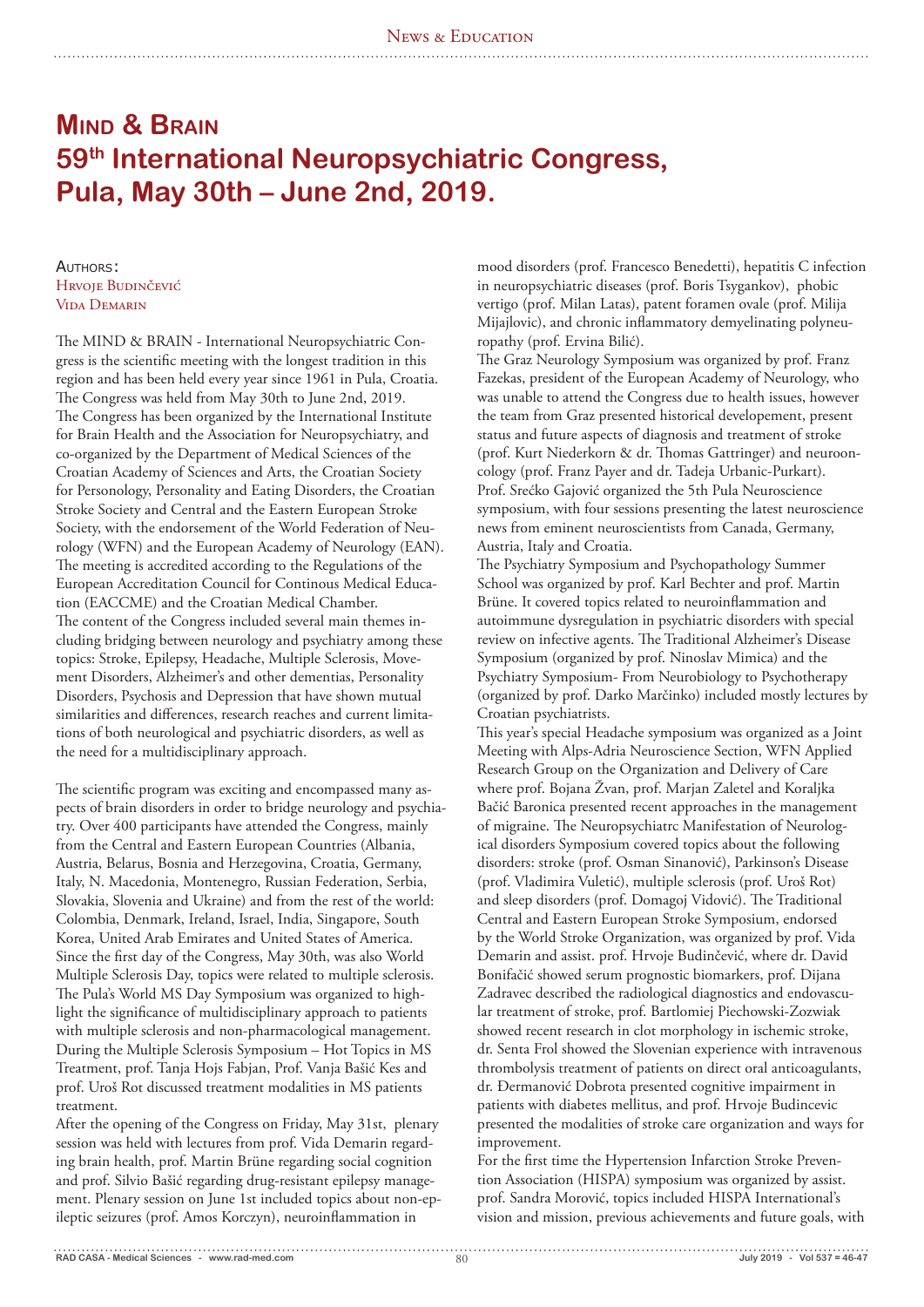# **Mind & Brain 59th International Neuropsychiatric Congress, Pula, May 30th – June 2nd, 2019.**

AUTHORS: Hrvoje Budinčević Vida Demarin

The MIND & BRAIN - International Neuropsychiatric Congress is the scientific meeting with the longest tradition in this region and has been held every year since 1961 in Pula, Croatia. The Congress was held from May 30th to June 2nd, 2019. The Congress has been organized by the International Institute for Brain Health and the Association for Neuropsychiatry, and co-organized by the Department of Medical Sciences of the Croatian Academy of Sciences and Arts, the Croatian Society for Personology, Personality and Eating Disorders, the Croatian Stroke Society and Central and the Eastern European Stroke Society, with the endorsement of the World Federation of Neurology (WFN) and the European Academy of Neurology (EAN). The meeting is accredited according to the Regulations of the European Accreditation Council for Continous Medical Education (EACCME) and the Croatian Medical Chamber. The content of the Congress included several main themes including bridging between neurology and psychiatry among these topics: Stroke, Epilepsy, Headache, Multiple Sclerosis, Movement Disorders, Alzheimer's and other dementias, Personality Disorders, Psychosis and Depression that have shown mutual similarities and differences, research reaches and current limitations of both neurological and psychiatric disorders, as well as the need for a multidisciplinary approach.

The scientific program was exciting and encompassed many aspects of brain disorders in order to bridge neurology and psychiatry. Over 400 participants have attended the Congress, mainly from the Central and Eastern European Countries (Albania, Austria, Belarus, Bosnia and Herzegovina, Croatia, Germany, Italy, N. Macedonia, Montenegro, Russian Federation, Serbia, Slovakia, Slovenia and Ukraine) and from the rest of the world: Colombia, Denmark, Ireland, Israel, India, Singapore, South Korea, United Arab Emirates and United States of America. Since the first day of the Congress, May 30th, was also World Multiple Sclerosis Day, topics were related to multiple sclerosis. The Pula's World MS Day Symposium was organized to highlight the significance of multidisciplinary approach to patients with multiple sclerosis and non-pharmacological management. During the Multiple Sclerosis Symposium – Hot Topics in MS Treatment, prof. Tanja Hojs Fabjan, Prof. Vanja Bašić Kes and prof. Uroš Rot discussed treatment modalities in MS patients treatment.

After the opening of the Congress on Friday, May 31st, plenary session was held with lectures from prof. Vida Demarin regarding brain health, prof. Martin Brüne regarding social cognition and prof. Silvio Bašić regarding drug-resistant epilepsy management. Plenary session on June 1st included topics about non-epileptic seizures (prof. Amos Korczyn), neuroinflammation in

mood disorders (prof. Francesco Benedetti), hepatitis C infection in neuropsychiatric diseases (prof. Boris Tsygankov), phobic vertigo (prof. Milan Latas), patent foramen ovale (prof. Milija Mijajlovic), and chronic inflammatory demyelinating polyneuropathy (prof. Ervina Bilić).

The Graz Neurology Symposium was organized by prof. Franz Fazekas, president of the European Academy of Neurology, who was unable to attend the Congress due to health issues, however the team from Graz presented historical developement, present status and future aspects of diagnosis and treatment of stroke (prof. Kurt Niederkorn & dr. Thomas Gattringer) and neurooncology (prof. Franz Payer and dr. Tadeja Urbanic-Purkart). Prof. Srećko Gajović organized the 5th Pula Neuroscience symposium, with four sessions presenting the latest neuroscience news from eminent neuroscientists from Canada, Germany, Austria, Italy and Croatia.

The Psychiatry Symposium and Psychopathology Summer School was organized by prof. Karl Bechter and prof. Martin Brüne. It covered topics related to neuroinflammation and autoimmune dysregulation in psychiatric disorders with special review on infective agents. The Traditional Alzheimer's Disease Symposium (organized by prof. Ninoslav Mimica) and the Psychiatry Symposium- From Neurobiology to Psychotherapy (organized by prof. Darko Marčinko) included mostly lectures by Croatian psychiatrists.

This year's special Headache symposium was organized as a Joint Meeting with Alps-Adria Neuroscience Section, WFN Applied Research Group on the Organization and Delivery of Care where prof. Bojana Žvan, prof. Marjan Zaletel and Koraljka Bačić Baronica presented recent approaches in the management of migraine. The Neuropsychiatrc Manifestation of Neurological disorders Symposium covered topics about the following disorders: stroke (prof. Osman Sinanović), Parkinson's Disease (prof. Vladimira Vuletić), multiple sclerosis (prof. Uroš Rot) and sleep disorders (prof. Domagoj Vidović). The Traditional Central and Eastern European Stroke Symposium, endorsed by the World Stroke Organization, was organized by prof. Vida Demarin and assist. prof. Hrvoje Budinčević, where dr. David Bonifačić showed serum prognostic biomarkers, prof. Dijana Zadravec described the radiological diagnostics and endovascular treatment of stroke, prof. Bartlomiej Piechowski-Zozwiak showed recent research in clot morphology in ischemic stroke, dr. Senta Frol showed the Slovenian experience with intravenous thrombolysis treatment of patients on direct oral anticoagulants, dr. Đermanović Dobrota presented cognitive impairment in patients with diabetes mellitus, and prof. Hrvoje Budincevic presented the modalities of stroke care organization and ways for improvement.

For the first time the Hypertension Infarction Stroke Prevention Association (HISPA) symposium was organized by assist. prof. Sandra Morović, topics included HISPA International's vision and mission, previous achievements and future goals, with